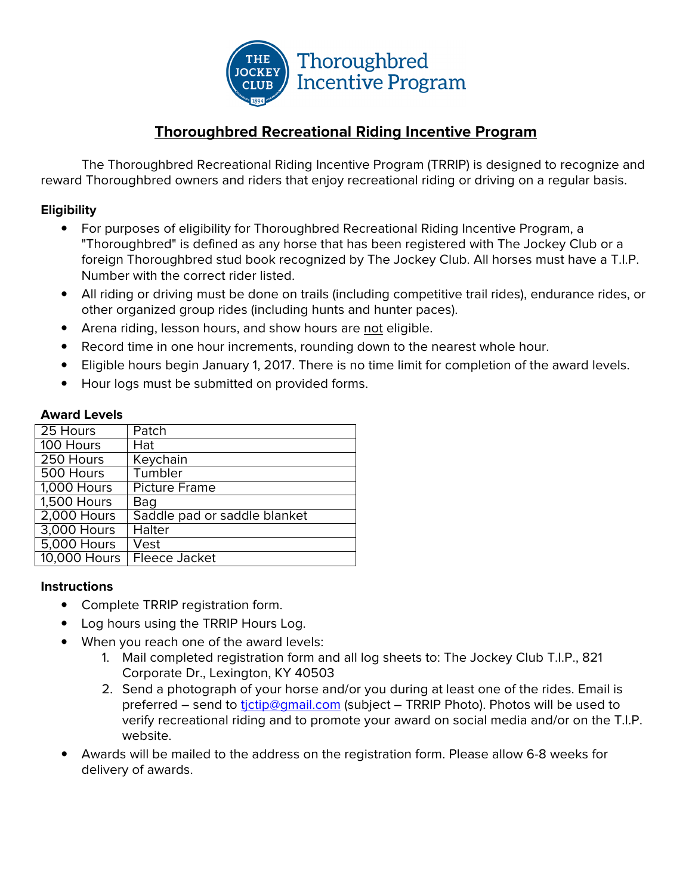

### **Thoroughbred Recreational Riding Incentive Program**

The Thoroughbred Recreational Riding Incentive Program (TRRIP) is designed to recognize and reward Thoroughbred owners and riders that enjoy recreational riding or driving on a regular basis.

### **Eligibility**

- For purposes of eligibility for Thoroughbred Recreational Riding Incentive Program, a "Thoroughbred" is defined as any horse that has been registered with The Jockey Club or a foreign Thoroughbred stud book recognized by The Jockey Club. All horses must have a T.I.P. Number with the correct rider listed.
- All riding or driving must be done on trails (including competitive trail rides), endurance rides, or other organized group rides (including hunts and hunter paces).
- Arena riding, lesson hours, and show hours are not eligible.
- Record time in one hour increments, rounding down to the nearest whole hour.
- Eligible hours begin January 1, 2017. There is no time limit for completion of the award levels.
- Hour logs must be submitted on provided forms.

#### **Award Levels**

| 25 Hours           | Patch                        |
|--------------------|------------------------------|
| 100 Hours          | Hat                          |
| 250 Hours          | Keychain                     |
| 500 Hours          | Tumbler                      |
| <b>1,000 Hours</b> | <b>Picture Frame</b>         |
| <b>1,500 Hours</b> | Bag                          |
| <b>2,000 Hours</b> | Saddle pad or saddle blanket |
| 3,000 Hours        | <b>Halter</b>                |
| 5,000 Hours        | Vest                         |
| 10,000 Hours       | <b>Fleece Jacket</b>         |

#### **Instructions**

- Complete TRRIP registration form.
- Log hours using the TRRIP Hours Log.
- When you reach one of the award levels:
	- 1. Mail completed registration form and all log sheets to: The Jockey Club T.I.P., 821 Corporate Dr., Lexington, KY 40503
	- 2. Send a photograph of your horse and/or you during at least one of the rides. Email is preferred – send to tictip@gmail.com (subject – TRRIP Photo). Photos will be used to verify recreational riding and to promote your award on social media and/or on the T.I.P. website.
- Awards will be mailed to the address on the registration form. Please allow 6-8 weeks for delivery of awards.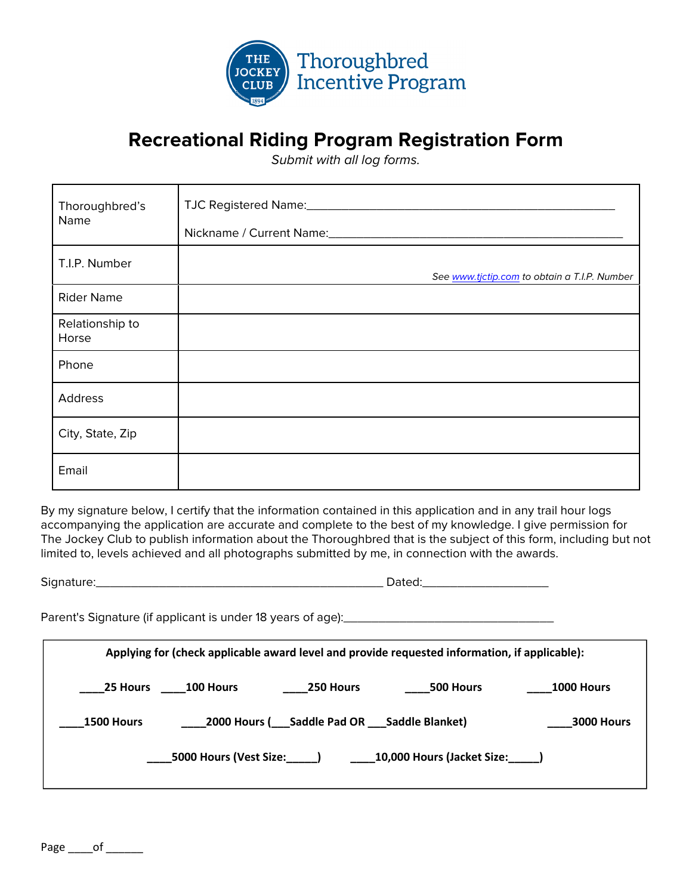

# **Recreational Riding Program Registration Form**

Submit with all log forms.

| Thoroughbred's<br>Name   | TJC Registered Name: 1980 1991 1992 1994<br>Nickname / Current Name: Mannell Allen Manual Allen Manual Allen Manual Allen Manual Allen Manual Allen Manual |
|--------------------------|------------------------------------------------------------------------------------------------------------------------------------------------------------|
| T.I.P. Number            | See www.tjctip.com to obtain a T.I.P. Number                                                                                                               |
| <b>Rider Name</b>        |                                                                                                                                                            |
| Relationship to<br>Horse |                                                                                                                                                            |
| Phone                    |                                                                                                                                                            |
| Address                  |                                                                                                                                                            |
| City, State, Zip         |                                                                                                                                                            |
| Email                    |                                                                                                                                                            |

By my signature below, I certify that the information contained in this application and in any trail hour logs accompanying the application are accurate and complete to the best of my knowledge. I give permission for The Jockey Club to publish information about the Thoroughbred that is the subject of this form, including but not limited to, levels achieved and all photographs submitted by me, in connection with the awards.

Signature:\_\_\_\_\_\_\_\_\_\_\_\_\_\_\_\_\_\_\_\_\_\_\_\_\_\_\_\_\_\_\_\_\_\_\_\_\_\_\_\_\_ Dated:\_\_\_\_\_\_\_\_\_\_\_\_\_\_\_\_\_\_ Parent's Signature (if applicant is under 18 years of age):\_\_\_\_\_\_\_\_\_\_\_\_\_\_\_\_\_\_\_\_\_\_\_\_\_\_\_\_\_\_ Applying for (check applicable award level and provide requested information, if applicable): \_\_\_\_25 Hours \_\_\_\_100 Hours \_\_\_\_250 Hours \_\_\_\_500 Hours \_\_\_\_1000 Hours \_1500 Hours \_\_\_\_\_2000 Hours (\_\_\_Saddle Pad OR \_\_\_Saddle Blanket) \_\_\_\_\_3000 Hours \_\_\_\_5000 Hours (Vest Size:\_\_\_\_\_) \_\_\_\_10,000 Hours (Jacket Size:\_\_\_\_\_)